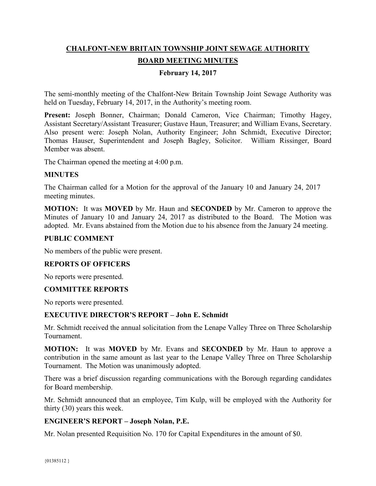# **CHALFONT-NEW BRITAIN TOWNSHIP JOINT SEWAGE AUTHORITY BOARD MEETING MINUTES**

### **February 14, 2017**

The semi-monthly meeting of the Chalfont-New Britain Township Joint Sewage Authority was held on Tuesday, February 14, 2017, in the Authority's meeting room.

Present: Joseph Bonner, Chairman; Donald Cameron, Vice Chairman; Timothy Hagey, Assistant Secretary/Assistant Treasurer; Gustave Haun, Treasurer; and William Evans, Secretary. Also present were: Joseph Nolan, Authority Engineer; John Schmidt, Executive Director; Thomas Hauser, Superintendent and Joseph Bagley, Solicitor. William Rissinger, Board Member was absent.

The Chairman opened the meeting at 4:00 p.m.

#### **MINUTES**

The Chairman called for a Motion for the approval of the January 10 and January 24, 2017 meeting minutes.

**MOTION:** It was **MOVED** by Mr. Haun and **SECONDED** by Mr. Cameron to approve the Minutes of January 10 and January 24, 2017 as distributed to the Board. The Motion was adopted. Mr. Evans abstained from the Motion due to his absence from the January 24 meeting.

#### **PUBLIC COMMENT**

No members of the public were present.

#### **REPORTS OF OFFICERS**

No reports were presented.

#### **COMMITTEE REPORTS**

No reports were presented.

#### **EXECUTIVE DIRECTOR'S REPORT – John E. Schmidt**

Mr. Schmidt received the annual solicitation from the Lenape Valley Three on Three Scholarship Tournament.

**MOTION:** It was **MOVED** by Mr. Evans and **SECONDED** by Mr. Haun to approve a contribution in the same amount as last year to the Lenape Valley Three on Three Scholarship Tournament. The Motion was unanimously adopted.

There was a brief discussion regarding communications with the Borough regarding candidates for Board membership.

Mr. Schmidt announced that an employee, Tim Kulp, will be employed with the Authority for thirty (30) years this week.

#### **ENGINEER'S REPORT – Joseph Nolan, P.E.**

Mr. Nolan presented Requisition No. 170 for Capital Expenditures in the amount of \$0.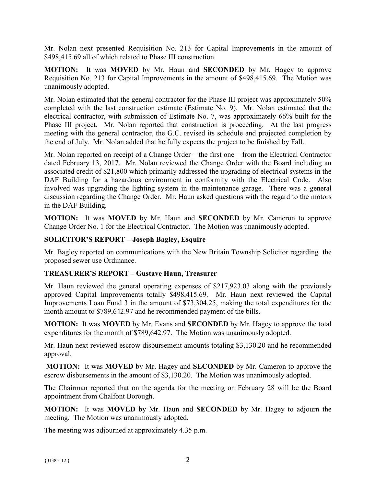Mr. Nolan next presented Requisition No. 213 for Capital Improvements in the amount of \$498,415.69 all of which related to Phase III construction.

**MOTION:** It was **MOVED** by Mr. Haun and **SECONDED** by Mr. Hagey to approve Requisition No. 213 for Capital Improvements in the amount of \$498,415.69. The Motion was unanimously adopted.

Mr. Nolan estimated that the general contractor for the Phase III project was approximately 50% completed with the last construction estimate (Estimate No. 9). Mr. Nolan estimated that the electrical contractor, with submission of Estimate No. 7, was approximately 66% built for the Phase III project. Mr. Nolan reported that construction is proceeding. At the last progress meeting with the general contractor, the G.C. revised its schedule and projected completion by the end of July. Mr. Nolan added that he fully expects the project to be finished by Fall.

Mr. Nolan reported on receipt of a Change Order – the first one – from the Electrical Contractor dated February 13, 2017. Mr. Nolan reviewed the Change Order with the Board including an associated credit of \$21,800 which primarily addressed the upgrading of electrical systems in the DAF Building for a hazardous environment in conformity with the Electrical Code. Also involved was upgrading the lighting system in the maintenance garage. There was a general discussion regarding the Change Order. Mr. Haun asked questions with the regard to the motors in the DAF Building.

**MOTION:** It was **MOVED** by Mr. Haun and **SECONDED** by Mr. Cameron to approve Change Order No. 1 for the Electrical Contractor. The Motion was unanimously adopted.

# **SOLICITOR'S REPORT – Joseph Bagley, Esquire**

Mr. Bagley reported on communications with the New Britain Township Solicitor regarding the proposed sewer use Ordinance.

## **TREASURER'S REPORT – Gustave Haun, Treasurer**

Mr. Haun reviewed the general operating expenses of \$217,923.03 along with the previously approved Capital Improvements totally \$498,415.69. Mr. Haun next reviewed the Capital Improvements Loan Fund 3 in the amount of \$73,304.25, making the total expenditures for the month amount to \$789,642.97 and he recommended payment of the bills.

**MOTION:** It was **MOVED** by Mr. Evans and **SECONDED** by Mr. Hagey to approve the total expenditures for the month of \$789,642.97. The Motion was unanimously adopted.

Mr. Haun next reviewed escrow disbursement amounts totaling \$3,130.20 and he recommended approval.

**MOTION:** It was **MOVED** by Mr. Hagey and **SECONDED** by Mr. Cameron to approve the escrow disbursements in the amount of \$3,130.20. The Motion was unanimously adopted.

The Chairman reported that on the agenda for the meeting on February 28 will be the Board appointment from Chalfont Borough.

**MOTION:** It was **MOVED** by Mr. Haun and **SECONDED** by Mr. Hagey to adjourn the meeting. The Motion was unanimously adopted.

The meeting was adjourned at approximately 4.35 p.m.